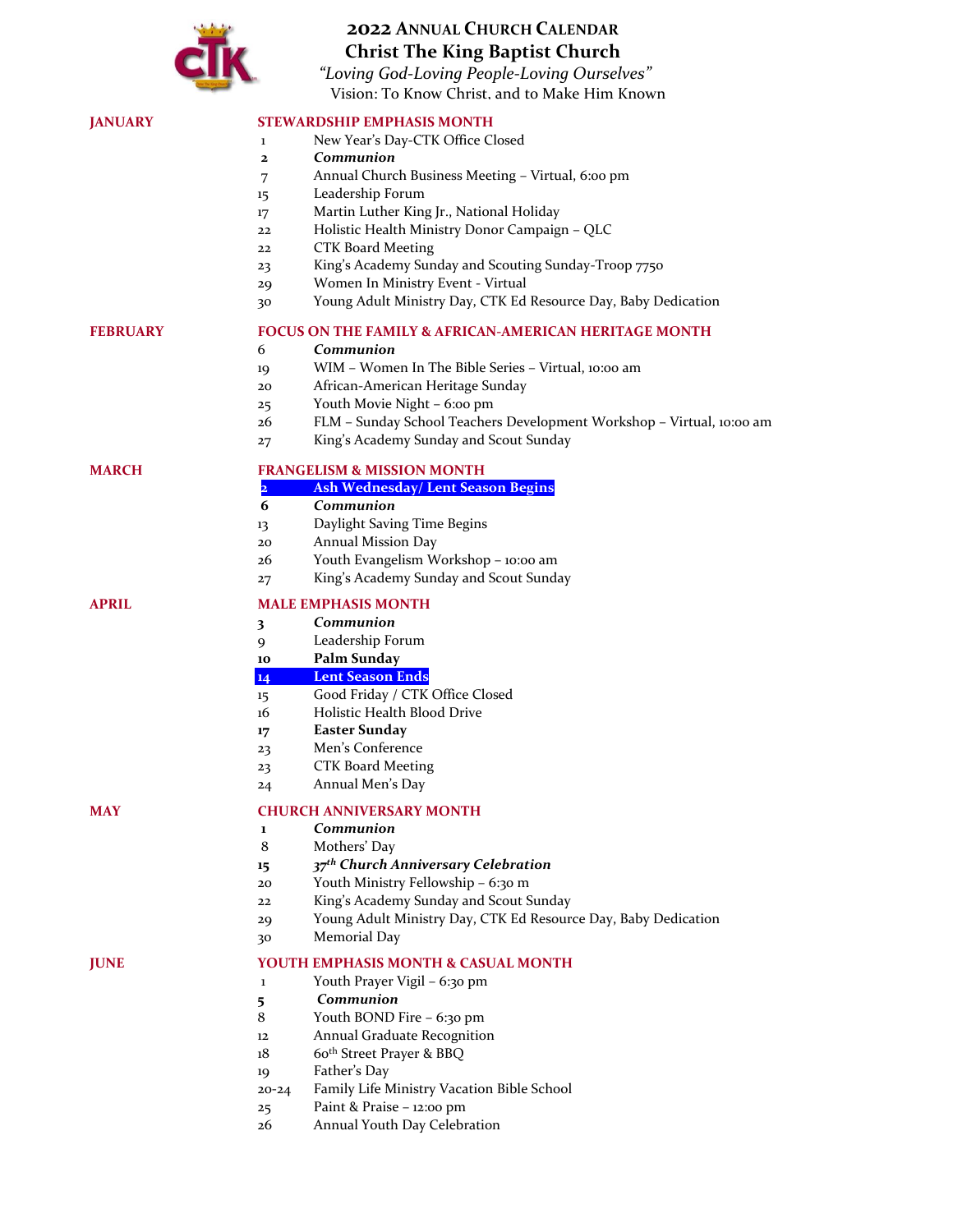

## **ANNUAL CHURCH CALENDAR Christ The King Baptist Church**

*"Loving God-Loving People-Loving Ourselves"* Vision: To Know Christ, and to Make Him Known

| <b>JANUARY</b>  |                                                                  | <b>STEWARDSHIP EMPHASIS MONTH</b>                                     |  |  |  |  |  |  |  |  |  |  |  |
|-----------------|------------------------------------------------------------------|-----------------------------------------------------------------------|--|--|--|--|--|--|--|--|--|--|--|
|                 | 1                                                                | New Year's Day-CTK Office Closed                                      |  |  |  |  |  |  |  |  |  |  |  |
|                 | $\mathbf{z}$                                                     | Communion                                                             |  |  |  |  |  |  |  |  |  |  |  |
|                 | 7                                                                | Annual Church Business Meeting - Virtual, 6:00 pm                     |  |  |  |  |  |  |  |  |  |  |  |
|                 | 15                                                               | Leadership Forum                                                      |  |  |  |  |  |  |  |  |  |  |  |
|                 | 17                                                               | Martin Luther King Jr., National Holiday                              |  |  |  |  |  |  |  |  |  |  |  |
|                 | 22                                                               | Holistic Health Ministry Donor Campaign - QLC                         |  |  |  |  |  |  |  |  |  |  |  |
|                 | 22                                                               | <b>CTK Board Meeting</b>                                              |  |  |  |  |  |  |  |  |  |  |  |
|                 | 23                                                               | King's Academy Sunday and Scouting Sunday-Troop 7750                  |  |  |  |  |  |  |  |  |  |  |  |
|                 | 29                                                               | Women In Ministry Event - Virtual                                     |  |  |  |  |  |  |  |  |  |  |  |
|                 | 30                                                               | Young Adult Ministry Day, CTK Ed Resource Day, Baby Dedication        |  |  |  |  |  |  |  |  |  |  |  |
| <b>FEBRUARY</b> | <b>FOCUS ON THE FAMILY &amp; AFRICAN-AMERICAN HERITAGE MONTH</b> |                                                                       |  |  |  |  |  |  |  |  |  |  |  |
|                 | 6                                                                | Communion                                                             |  |  |  |  |  |  |  |  |  |  |  |
|                 | 19                                                               | WIM - Women In The Bible Series - Virtual, 10:00 am                   |  |  |  |  |  |  |  |  |  |  |  |
|                 | 20                                                               | African-American Heritage Sunday                                      |  |  |  |  |  |  |  |  |  |  |  |
|                 |                                                                  | Youth Movie Night - 6:00 pm                                           |  |  |  |  |  |  |  |  |  |  |  |
|                 | 25<br>26                                                         | FLM - Sunday School Teachers Development Workshop - Virtual, 10:00 am |  |  |  |  |  |  |  |  |  |  |  |
|                 | 27                                                               | King's Academy Sunday and Scout Sunday                                |  |  |  |  |  |  |  |  |  |  |  |
| <b>MARCH</b>    |                                                                  | <b>FRANGELISM &amp; MISSION MONTH</b>                                 |  |  |  |  |  |  |  |  |  |  |  |
|                 |                                                                  | <b>Ash Wednesday/ Lent Season Begins</b>                              |  |  |  |  |  |  |  |  |  |  |  |
|                 | $\mathbf{z}$<br>6                                                | Communion                                                             |  |  |  |  |  |  |  |  |  |  |  |
|                 |                                                                  |                                                                       |  |  |  |  |  |  |  |  |  |  |  |
|                 | 13                                                               | Daylight Saving Time Begins                                           |  |  |  |  |  |  |  |  |  |  |  |
|                 | 20                                                               | <b>Annual Mission Day</b>                                             |  |  |  |  |  |  |  |  |  |  |  |
|                 | 26                                                               | Youth Evangelism Workshop - 10:00 am                                  |  |  |  |  |  |  |  |  |  |  |  |
|                 | 27                                                               | King's Academy Sunday and Scout Sunday                                |  |  |  |  |  |  |  |  |  |  |  |
| <b>APRIL</b>    | <b>MALE EMPHASIS MONTH</b>                                       |                                                                       |  |  |  |  |  |  |  |  |  |  |  |
|                 | 3                                                                | Communion                                                             |  |  |  |  |  |  |  |  |  |  |  |
|                 | 9                                                                | Leadership Forum                                                      |  |  |  |  |  |  |  |  |  |  |  |
|                 | 10                                                               | Palm Sunday                                                           |  |  |  |  |  |  |  |  |  |  |  |
|                 | 14                                                               | <b>Lent Season Ends</b>                                               |  |  |  |  |  |  |  |  |  |  |  |
|                 | 15                                                               | Good Friday / CTK Office Closed                                       |  |  |  |  |  |  |  |  |  |  |  |
|                 | 16                                                               | Holistic Health Blood Drive                                           |  |  |  |  |  |  |  |  |  |  |  |
|                 | 17                                                               | <b>Easter Sunday</b>                                                  |  |  |  |  |  |  |  |  |  |  |  |
|                 | 23                                                               | Men's Conference                                                      |  |  |  |  |  |  |  |  |  |  |  |
|                 | 23                                                               | <b>CTK Board Meeting</b>                                              |  |  |  |  |  |  |  |  |  |  |  |
|                 | 24                                                               | Annual Men's Day                                                      |  |  |  |  |  |  |  |  |  |  |  |
| MAY             |                                                                  | <b>CHURCH ANNIVERSARY MONTH</b>                                       |  |  |  |  |  |  |  |  |  |  |  |
|                 | 1                                                                | Communion                                                             |  |  |  |  |  |  |  |  |  |  |  |
|                 | 8                                                                | Mothers' Day                                                          |  |  |  |  |  |  |  |  |  |  |  |
|                 | 15                                                               | 37 <sup>th</sup> Church Anniversary Celebration                       |  |  |  |  |  |  |  |  |  |  |  |
|                 | 20                                                               | Youth Ministry Fellowship - 6:30 m                                    |  |  |  |  |  |  |  |  |  |  |  |
|                 | 22                                                               | King's Academy Sunday and Scout Sunday                                |  |  |  |  |  |  |  |  |  |  |  |
|                 | 29                                                               | Young Adult Ministry Day, CTK Ed Resource Day, Baby Dedication        |  |  |  |  |  |  |  |  |  |  |  |
|                 | 30                                                               | Memorial Day                                                          |  |  |  |  |  |  |  |  |  |  |  |
| <b>JUNE</b>     |                                                                  | <b>YOUTH EMPHASIS MONTH &amp; CASUAL MONTH</b>                        |  |  |  |  |  |  |  |  |  |  |  |
|                 | 1                                                                | Youth Prayer Vigil - 6:30 pm                                          |  |  |  |  |  |  |  |  |  |  |  |
|                 | 5                                                                | Communion                                                             |  |  |  |  |  |  |  |  |  |  |  |
|                 | 8                                                                | Youth BOND Fire - 6:30 pm                                             |  |  |  |  |  |  |  |  |  |  |  |
|                 | 12                                                               | Annual Graduate Recognition                                           |  |  |  |  |  |  |  |  |  |  |  |
|                 | 18                                                               | 60 <sup>th</sup> Street Prayer & BBQ                                  |  |  |  |  |  |  |  |  |  |  |  |
|                 | 19                                                               | Father's Day                                                          |  |  |  |  |  |  |  |  |  |  |  |
|                 | $20 - 24$                                                        | Family Life Ministry Vacation Bible School                            |  |  |  |  |  |  |  |  |  |  |  |
|                 |                                                                  | Paint & Praise - 12:00 pm                                             |  |  |  |  |  |  |  |  |  |  |  |
|                 | 25                                                               |                                                                       |  |  |  |  |  |  |  |  |  |  |  |
|                 | 26                                                               | Annual Youth Day Celebration                                          |  |  |  |  |  |  |  |  |  |  |  |